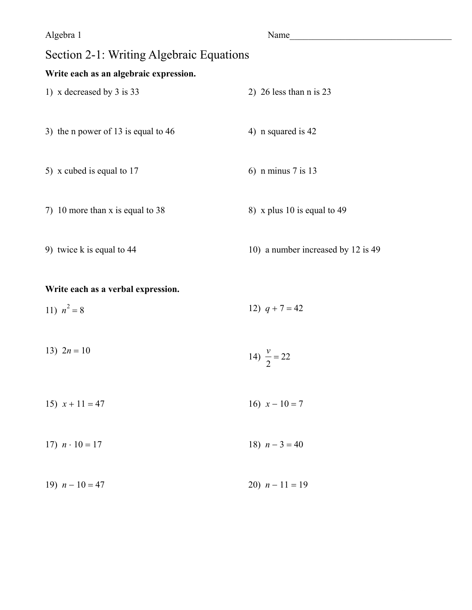| Algebra 1                                | Name                               |
|------------------------------------------|------------------------------------|
| Section 2-1: Writing Algebraic Equations |                                    |
| Write each as an algebraic expression.   |                                    |
| 1) x decreased by 3 is $33$              | 2) 26 less than $n$ is 23          |
|                                          |                                    |
| 3) the n power of 13 is equal to 46      | 4) n squared is 42                 |
|                                          |                                    |
| 5) x cubed is equal to 17                | 6) n minus $7$ is 13               |
|                                          |                                    |
| 7) 10 more than $x$ is equal to 38       | 8) x plus 10 is equal to 49        |
|                                          |                                    |
| 9) twice k is equal to 44                | 10) a number increased by 12 is 49 |
|                                          |                                    |

#### Write each as a verbal expression.

11)  $n^2 = 8$ 12)  $q + 7 = 42$ 

- 13)  $2n = 10$ 14)  $\frac{v}{2} = 22$
- 16)  $x 10 = 7$ 15)  $x + 11 = 47$
- 17)  $n \cdot 10 = 17$ 18)  $n-3=40$
- 19)  $n 10 = 47$ 20)  $n-11=19$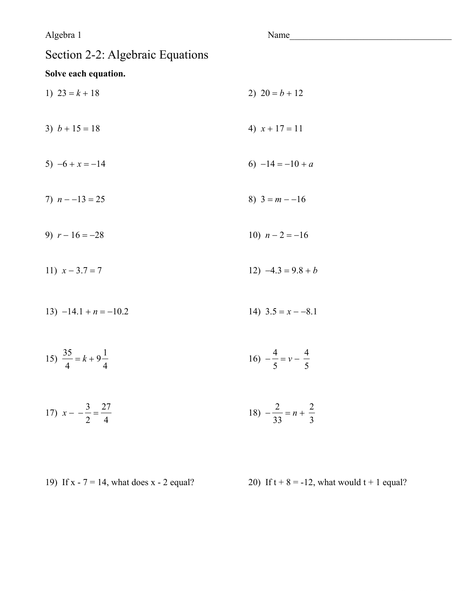Algebra 1 Section 2-2: Algebraic Equations Solve each equation. 1)  $23 = k + 18$ 3)  $b + 15 = 18$ 5)  $-6 + x = -14$ 7)  $n - -13 = 25$ 9)  $r - 16 = -28$ 10)  $n-2=-16$ 11)  $x - 3.7 = 7$ 12)  $-4.3 = 9.8 + b$ 

15)  $\frac{35}{4} = k + 9\frac{1}{4}$ 

17) 
$$
x - \frac{3}{2} = \frac{27}{4}
$$
 18)  $-\frac{2}{33} = n + \frac{2}{3}$ 

19) If  $x - 7 = 14$ , what does  $x - 2$  equal?

20) If  $t + 8 = -12$ , what would  $t + 1$  equal?

2)  $20 = b + 12$ 

4)  $x + 17 = 11$ 

6)  $-14 = -10 + a$ 

8)  $3 = m - 16$ 

$$
(\mathcal{M}_\mathcal{A},\mathcal{M}_\mathcal{A},\mathcal{M}_\mathcal{A},\mathcal{M}_\mathcal{A},\mathcal{M}_\mathcal{A},\mathcal{M}_\mathcal{A},\mathcal{M}_\mathcal{A},\mathcal{M}_\mathcal{A},\mathcal{M}_\mathcal{A},\mathcal{M}_\mathcal{A},\mathcal{M}_\mathcal{A},\mathcal{M}_\mathcal{A},\mathcal{M}_\mathcal{A},\mathcal{M}_\mathcal{A},\mathcal{M}_\mathcal{A},\mathcal{M}_\mathcal{A},\mathcal{M}_\mathcal{A},\mathcal{M}_\mathcal{A},\mathcal{M}_\mathcal{A},\mathcal{M}_\mathcal{A},\mathcal{M}_\mathcal{A},\mathcal{M}_\mathcal{A},\mathcal{M}_\mathcal{A},\mathcal{M}_\mathcal{A},\mathcal{M}_\mathcal{A},\mathcal{M}_\mathcal{A},\mathcal{M}_\mathcal{A},\mathcal{M}_\mathcal{A},\mathcal{M}_\mathcal{A},\mathcal{M}_\mathcal{A},\mathcal{M}_\mathcal{A},\mathcal{M}_\mathcal{A},\mathcal{M}_\mathcal{A},\mathcal{M}_\mathcal{A},\mathcal{M}_\mathcal{A},\mathcal{M}_\mathcal{A},\mathcal{M}_\mathcal{A},\mathcal{M}_\mathcal{A},\mathcal{M}_\mathcal{A},\mathcal{M}_\mathcal{A},\mathcal{M}_\mathcal{A},\mathcal{M}_\mathcal{A},\mathcal{M}_\mathcal{A},\mathcal{M}_\mathcal{A},\mathcal{M}_\mathcal{A},\mathcal{M}_\mathcal{A},\mathcal{M}_\mathcal{A},\mathcal{M}_\mathcal{A},\mathcal{M}_\mathcal{A},\mathcal{M}_\mathcal{A},\mathcal{M}_\mathcal{A},\mathcal{M}_\mathcal{A},\mathcal{M}_\mathcal{A},\mathcal{M}_\mathcal{A},\mathcal{M}_\mathcal{A},\mathcal{M}_\mathcal{A},\mathcal{M}_\mathcal{A},\mathcal{M}_\mathcal{A},\mathcal{M}_\mathcal{A},\mathcal{M}_\mathcal{A},\mathcal{M}_\mathcal{A},\mathcal{M}_\mathcal{A},\mathcal{M}_\mathcal{A},\mathcal
$$

13) 
$$
-14.1 + n = -10.2
$$
  
14)  $3.5 = x - -8.1$ 

$$
16) -\frac{4}{5} = v - \frac{4}{5}
$$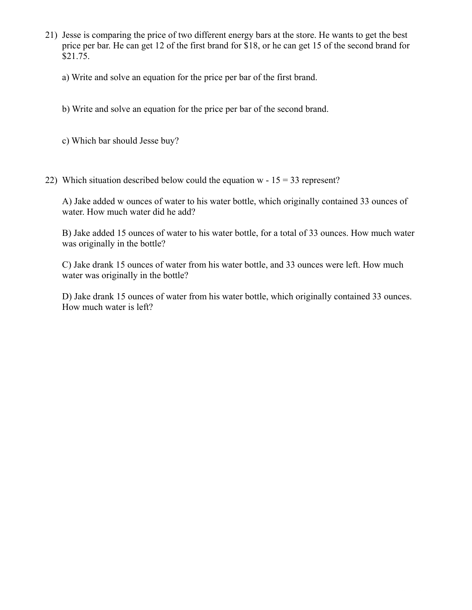- 21) Jesse is comparing the price of two different energy bars at the store. He wants to get the best price per bar. He can get 12 of the first brand for \$18, or he can get 15 of the second brand for \$21.75.
	- a) Write and solve an equation for the price per bar of the first brand.
	- b) Write and solve an equation for the price per bar of the second brand.
	- c) Which bar should Jesse buy?
- 22) Which situation described below could the equation w  $15 = 33$  represent?

A) Jake added w ounces of water to his water bottle, which originally contained 33 ounces of water. How much water did he add?

B) Jake added 15 ounces of water to his water bottle, for a total of 33 ounces. How much water was originally in the bottle?

C) Jake drank 15 ounces of water from his water bottle, and 33 ounces were left. How much water was originally in the bottle?

D) Jake drank 15 ounces of water from his water bottle, which originally contained 33 ounces. How much water is left?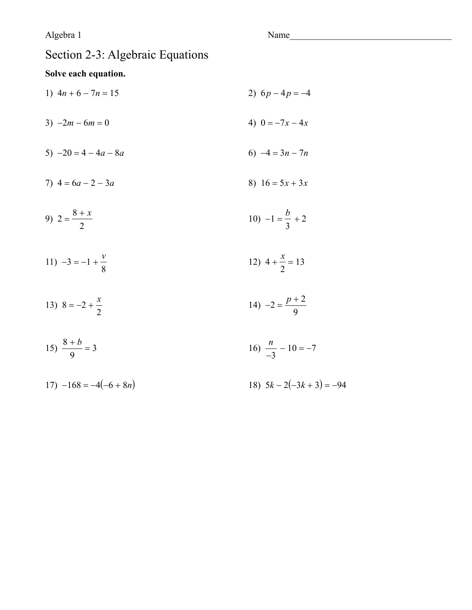#### Algebra 1

Name

## Section 2-3: Algebraic Equations

### Solve each equation.

- 2)  $6p-4p=-4$ 1)  $4n + 6 - 7n = 15$ 4)  $0 = -7x - 4x$ 3)  $-2m - 6m = 0$
- 6)  $-4 = 3n 7n$ 5)  $-20 = 4 - 4a - 8a$
- 7)  $4 = 6a 2 3a$ 8)  $16 = 5x + 3x$

9) 
$$
2 = \frac{8+x}{2}
$$
 10)  $-1 = \frac{b}{3} + 2$ 

- 11)  $-3 = -1 + \frac{v}{8}$ 12)  $4 + \frac{x}{2} = 13$
- 14)  $-2 = \frac{p+2}{9}$ 13)  $8 = -2 + \frac{x}{2}$
- 15)  $\frac{8+b}{9} = 3$ 16)  $\frac{n}{-3} - 10 = -7$
- $17) -168 = -4(-6 + 8n)$ 18)  $5k - 2(-3k + 3) = -94$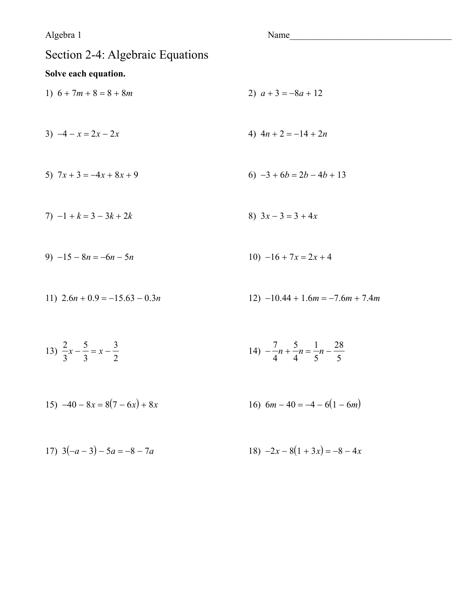Algebra 1 Name Section 2-4: Algebraic Equations Solve each equation. 1)  $6 + 7m + 8 = 8 + 8m$ 2)  $a+3=-8a+12$ 3)  $-4 - x = 2x - 2x$ 4)  $4n + 2 = -14 + 2n$ 5)  $7x + 3 = -4x + 8x + 9$ 6)  $-3 + 6b = 2b - 4b + 13$  $7) -1 + k = 3 - 3k + 2k$ 8)  $3x - 3 = 3 + 4x$ 9)  $-15 - 8n = -6n - 5n$  $10) -16 + 7x = 2x + 4$ 11)  $2.6n + 0.9 = -15.63 - 0.3n$ 12)  $-10.44 + 1.6m = -7.6m + 7.4m$ 

13) 
$$
\frac{2}{3}x - \frac{5}{3} = x - \frac{3}{2}
$$
  
14)  $-\frac{7}{4}n + \frac{5}{4}n = \frac{1}{5}n - \frac{28}{5}$ 

15) 
$$
-40 - 8x = 8(7 - 6x) + 8x
$$
  
16)  $6m - 40 = -4 - 6(1 - 6m)$ 

17) 
$$
3(-a-3) - 5a = -8 - 7a
$$
  
18)  $-2x - 8(1 + 3x) = -8 - 4x$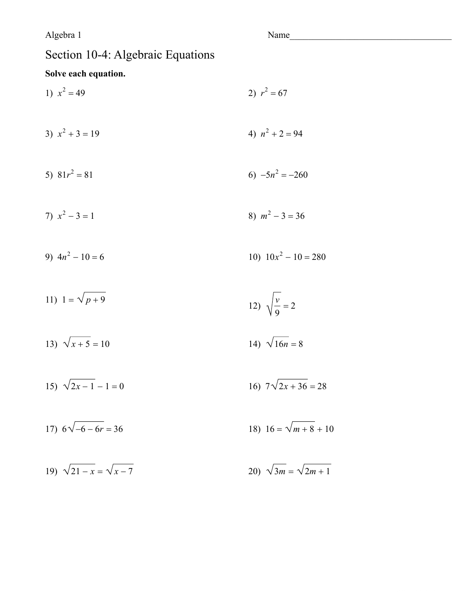#### Algebra 1

Name

16)  $7\sqrt{2x+36} = 28$ 

## Section 10-4: Algebraic Equations

## Solve each equation.

- 1)  $x^2 = 49$ 2)  $r^2 = 67$ 3)  $x^2 + 3 = 19$ 4)  $n^2 + 2 = 94$ 6)  $-5n^2 = -260$ 5)  $81r^2 = 81$ 7)  $x^2 - 3 = 1$ 8)  $m^2 - 3 = 36$ 9)  $4n^2 - 10 = 6$ 10)  $10x^2 - 10 = 280$ 11)  $1 = \sqrt{p+9}$ 12)  $\sqrt{\frac{v}{9}} = 2$ 13)  $\sqrt{x+5} = 10$ 14)  $\sqrt{16n} = 8$ 15)  $\sqrt{2x-1} - 1 = 0$
- 18)  $16 = \sqrt{m+8} + 10$ 17)  $6\sqrt{-6-6r} = 36$
- 19)  $\sqrt{21-x} = \sqrt{x-7}$ 20)  $\sqrt{3m} = \sqrt{2m+1}$